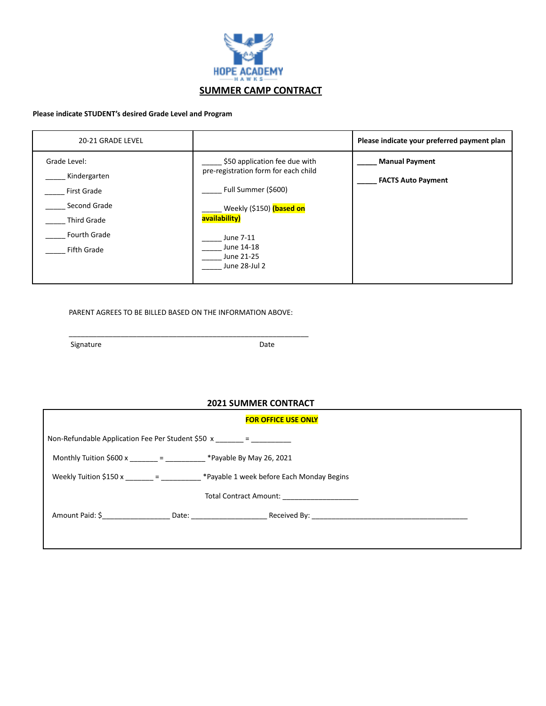

## **Please indicate STUDENT's desired Grade Level and Program**

| 20-21 GRADE LEVEL                                                                                                                     |                                                                                                                                                                                                     | Please indicate your preferred payment plan        |
|---------------------------------------------------------------------------------------------------------------------------------------|-----------------------------------------------------------------------------------------------------------------------------------------------------------------------------------------------------|----------------------------------------------------|
| Grade Level:<br>Kindergarten<br><b>First Grade</b><br>Second Grade<br><b>Third Grade</b><br><b>Fourth Grade</b><br><b>Fifth Grade</b> | \$50 application fee due with<br>pre-registration form for each child<br>Full Summer (\$600)<br>Weekly (\$150) (based on<br>availability)<br>June 7-11<br>June 14-18<br>June 21-25<br>June 28-Jul 2 | <b>Manual Payment</b><br><b>FACTS Auto Payment</b> |

PARENT AGREES TO BE BILLED BASED ON THE INFORMATION ABOVE:

\_\_\_\_\_\_\_\_\_\_\_\_\_\_\_\_\_\_\_\_\_\_\_\_\_\_\_\_\_\_\_\_\_\_\_\_\_\_\_\_\_\_\_\_\_\_\_\_\_\_\_\_\_\_\_\_\_\_\_\_

Signature Date Date

## **2021 SUMMER CONTRACT**

| <b>FOR OFFICE USE ONLY</b>                            |  |                                                                                                |  |
|-------------------------------------------------------|--|------------------------------------------------------------------------------------------------|--|
| Non-Refundable Application Fee Per Student \$50 $x =$ |  |                                                                                                |  |
|                                                       |  | Monthly Tuition \$600 x _______ = __________ *Payable By May 26, 2021                          |  |
|                                                       |  | Weekly Tuition \$150 x $\frac{1}{2}$ = $\frac{1}{2}$ *Payable 1 week before Each Monday Begins |  |
|                                                       |  | Total Contract Amount: Total Contract Amount                                                   |  |
|                                                       |  |                                                                                                |  |
|                                                       |  |                                                                                                |  |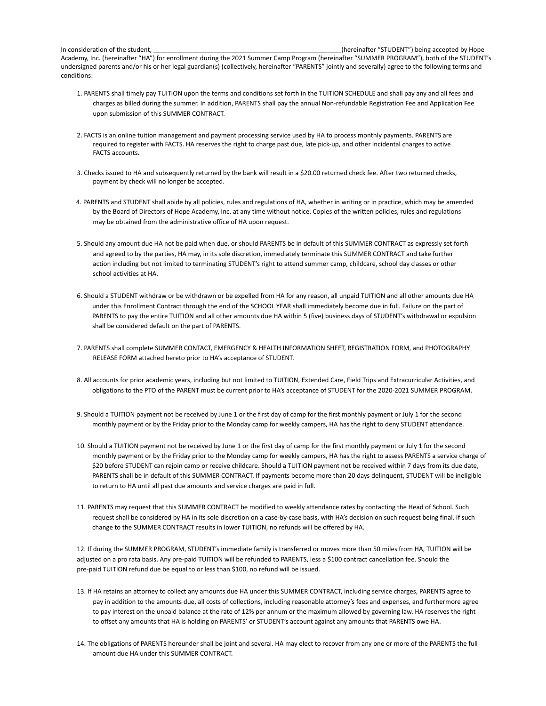In consideration of the student, \_\_\_\_\_\_\_\_\_\_\_\_\_\_\_\_\_\_\_\_\_\_\_\_\_\_\_\_\_\_\_\_\_\_\_\_\_\_\_\_\_\_\_\_\_\_\_\_\_\_\_\_\_(hereinafter "STUDENT") being accepted by Hope Academy, Inc. (hereinafter "HA") for enrollment during the 2021 Summer Camp Program (hereinafter "SUMMER PROGRAM"), both of the STUDENT's undersigned parents and/or his or her legal guardian(s) (collectively, hereinafter "PARENTS" jointly and severally) agree to the following terms and conditions:

- 1. PARENTS shall timely pay TUITION upon the terms and conditions set forth in the TUITION SCHEDULE and shall pay any and all fees and charges as billed during the summer. In addition, PARENTS shall pay the annual Non-refundable Registration Fee and Application Fee upon submission of this SUMMER CONTRACT.
- 2. FACTS is an online tuition management and payment processing service used by HA to process monthly payments. PARENTS are required to register with FACTS. HA reserves the right to charge past due, late pick-up, and other incidental charges to active FACTS accounts.
- 3. Checks issued to HA and subsequently returned by the bank will result in a \$20.00 returned check fee. After two returned checks, payment by check will no longer be accepted.
- 4. PARENTS and STUDENT shall abide by all policies, rules and regulations of HA, whether in writing or in practice, which may be amended by the Board of Directors of Hope Academy, Inc. at any time without notice. Copies of the written policies, rules and regulations may be obtained from the administrative office of HA upon request.
- 5. Should any amount due HA not be paid when due, or should PARENTS be in default of this SUMMER CONTRACT as expressly set forth and agreed to by the parties, HA may, in its sole discretion, immediately terminate this SUMMER CONTRACT and take further action including but not limited to terminating STUDENT's right to attend summer camp, childcare, school day classes or other school activities at HA.
- 6. Should a STUDENT withdraw or be withdrawn or be expelled from HA for any reason, all unpaid TUITION and all other amounts due HA under this Enrollment Contract through the end of the SCHOOL YEAR shall immediately become due in full. Failure on the part of PARENTS to pay the entire TUITION and all other amounts due HA within 5 (five) business days of STUDENT's withdrawal or expulsion shall be considered default on the part of PARENTS.
- 7. PARENTS shall complete SUMMER CONTACT, EMERGENCY & HEALTH INFORMATION SHEET, REGISTRATION FORM, and PHOTOGRAPHY RELEASE FORM attached hereto prior to HA's acceptance of STUDENT.
- 8. All accounts for prior academic years, including but not limited to TUITION, Extended Care, Field Trips and Extracurricular Activities, and obligations to the PTO of the PARENT must be current prior to HA's acceptance of STUDENT for the 2020-2021 SUMMER PROGRAM.
- 9. Should a TUITION payment not be received by June 1 or the first day of camp for the first monthly payment or July 1 for the second monthly payment or by the Friday prior to the Monday camp for weekly campers, HA has the right to deny STUDENT attendance.
- 10. Should a TUITION payment not be received by June 1 or the first day of camp for the first monthly payment or July 1 for the second monthly payment or by the Friday prior to the Monday camp for weekly campers, HA has the right to assess PARENTS a service charge of \$20 before STUDENT can rejoin camp or receive childcare. Should a TUITION payment not be received within 7 days from its due date, PARENTS shall be in default of this SUMMER CONTRACT. If payments become more than 20 days delinquent, STUDENT will be ineligible to return to HA until all past due amounts and service charges are paid in full.
- 11. PARENTS may request that this SUMMER CONTRACT be modified to weekly attendance rates by contacting the Head of School. Such request shall be considered by HA in its sole discretion on a case-by-case basis, with HA's decision on such request being final. If such change to the SUMMER CONTRACT results in lower TUITION, no refunds will be offered by HA.

12. If during the SUMMER PROGRAM, STUDENT's immediate family is transferred or moves more than 50 miles from HA, TUITION will be adjusted on a pro rata basis. Any pre-paid TUITION will be refunded to PARENTS, less a \$100 contract cancellation fee. Should the pre-paid TUITION refund due be equal to or less than \$100, no refund will be issued.

- 13. If HA retains an attorney to collect any amounts due HA under this SUMMER CONTRACT, including service charges, PARENTS agree to pay in addition to the amounts due, all costs of collections, including reasonable attorney's fees and expenses, and furthermore agree to pay interest on the unpaid balance at the rate of 12% per annum or the maximum allowed by governing law. HA reserves the right to offset any amounts that HA is holding on PARENTS' or STUDENT's account against any amounts that PARENTS owe HA.
- 14. The obligations of PARENTS hereunder shall be joint and several. HA may elect to recover from any one or more of the PARENTS the full amount due HA under this SUMMER CONTRACT.